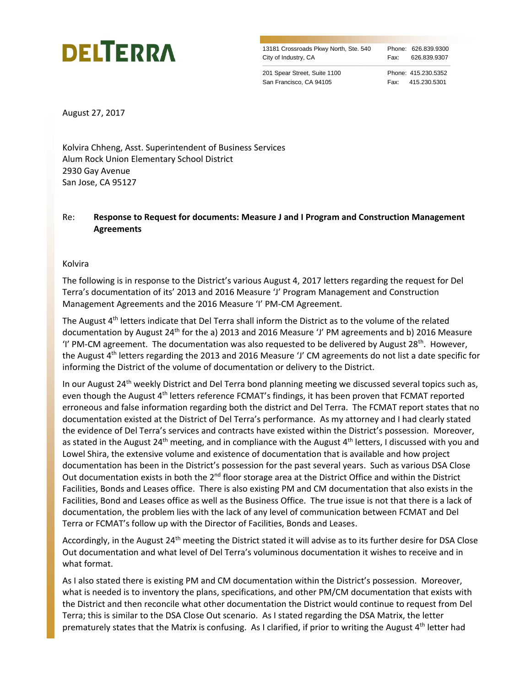## **DELTERRA**

13181 Crossroads Pkwy North, Ste. 540 Phone: 626.839.9300 City of Industry, CA Fax: 626.839.9307

\_\_\_\_\_\_\_\_\_\_\_\_\_\_\_\_\_\_\_\_\_\_\_\_\_\_\_\_\_\_\_\_\_\_\_\_\_\_\_\_\_\_\_\_\_\_\_\_\_\_\_\_\_\_\_\_\_\_\_\_\_\_\_\_\_\_\_\_\_\_\_\_\_\_\_\_\_\_\_\_\_\_\_\_\_\_\_\_\_\_\_\_\_\_\_\_\_\_\_\_\_\_\_\_\_\_\_\_\_\_\_\_\_\_\_\_\_\_\_\_\_\_\_\_\_\_\_\_\_\_

201 Spear Street, Suite 1100 Phone: 415.230.5352 San Francisco, CA 94105 Fax: 415.230.5301

August 27, 2017

Kolvira Chheng, Asst. Superintendent of Business Services Alum Rock Union Elementary School District 2930 Gay Avenue San Jose, CA 95127

Re: **Response to Request for documents: Measure J and I Program and Construction Management Agreements**

Kolvira

The following is in response to the District's various August 4, 2017 letters regarding the request for Del Terra's documentation of its' 2013 and 2016 Measure 'J' Program Management and Construction Management Agreements and the 2016 Measure 'I' PM-CM Agreement.

The August  $4<sup>th</sup>$  letters indicate that Del Terra shall inform the District as to the volume of the related documentation by August 24th for the a) 2013 and 2016 Measure 'J' PM agreements and b) 2016 Measure 'I' PM-CM agreement. The documentation was also requested to be delivered by August 28<sup>th</sup>. However, the August 4th letters regarding the 2013 and 2016 Measure 'J' CM agreements do not list a date specific for informing the District of the volume of documentation or delivery to the District.

In our August 24<sup>th</sup> weekly District and Del Terra bond planning meeting we discussed several topics such as, even though the August 4<sup>th</sup> letters reference FCMAT's findings, it has been proven that FCMAT reported erroneous and false information regarding both the district and Del Terra. The FCMAT report states that no documentation existed at the District of Del Terra's performance. As my attorney and I had clearly stated the evidence of Del Terra's services and contracts have existed within the District's possession. Moreover, as stated in the August 24<sup>th</sup> meeting, and in compliance with the August 4<sup>th</sup> letters, I discussed with you and Lowel Shira, the extensive volume and existence of documentation that is available and how project documentation has been in the District's possession for the past several years. Such as various DSA Close Out documentation exists in both the 2<sup>nd</sup> floor storage area at the District Office and within the District Facilities, Bonds and Leases office. There is also existing PM and CM documentation that also exists in the Facilities, Bond and Leases office as well as the Business Office. The true issue is not that there is a lack of documentation, the problem lies with the lack of any level of communication between FCMAT and Del Terra or FCMAT's follow up with the Director of Facilities, Bonds and Leases.

Accordingly, in the August 24<sup>th</sup> meeting the District stated it will advise as to its further desire for DSA Close Out documentation and what level of Del Terra's voluminous documentation it wishes to receive and in what format.

As I also stated there is existing PM and CM documentation within the District's possession. Moreover, what is needed is to inventory the plans, specifications, and other PM/CM documentation that exists with the District and then reconcile what other documentation the District would continue to request from Del Terra; this is similar to the DSA Close Out scenario. As I stated regarding the DSA Matrix, the letter prematurely states that the Matrix is confusing. As I clarified, if prior to writing the August 4<sup>th</sup> letter had